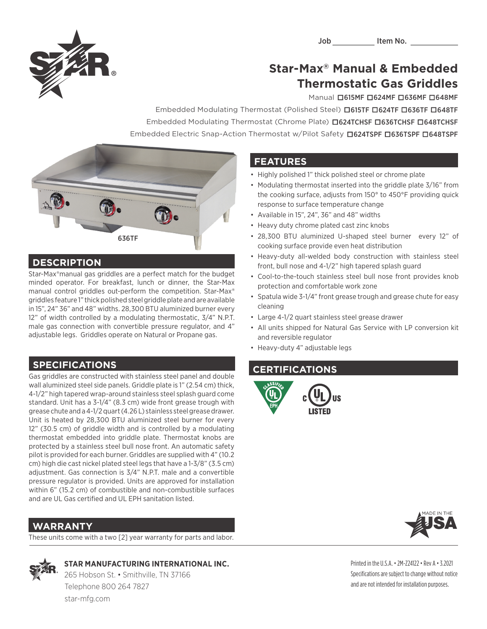

# **Star-Max® Manual & Embedded Thermostatic Gas Griddles** Manual **.**615MF **.**624MF **.**636MF **.**648MF

**Embedded Modulating Thermostat (Polished Steel) <b>D615MF D624MF D636MF D648MF**<br>Embedded Modulating Thermostat (Polished Steel) **D615TF D624TF D636TF D648TF** Embedded Modulating Thermostat (Chrome Plate) **.**624TCHSF **.**636TCHSF **.**648TCHSF Embedded Electric Snap-Action Thermostat w/Pilot Safety **.**624TSPF **.**636TSPF **.**648TSPF



### **DESCRIPTION**

Star-Max®manual gas griddles are a perfect match for the budget minded operator. For breakfast, lunch or dinner, the Star-Max manual control griddles out-perform the competition. Star-Max® griddles feature 1" thick polished steel griddle plate and are available in 15", 24" 36" and 48" widths. 28,300 BTU aluminized burner every 12" of width controlled by a modulating thermostatic, 3/4" N.P.T. male gas connection with convertible pressure regulator, and 4" adjustable legs. Griddles operate on Natural or Propane gas.

## **SPECIFICATIONS**

Gas griddles are constructed with stainless steel panel and double wall aluminized steel side panels. Griddle plate is 1" (2.54 cm) thick, 4-1/2" high tapered wrap-around stainless steel splash guard come standard. Unit has a 3-1/4" (8.3 cm) wide front grease trough with grease chute and a 4-1/2 quart (4.26 L) stainless steel grease drawer. Unit is heated by 28,300 BTU aluminized steel burner for every 12" (30.5 cm) of griddle width and is controlled by a modulating thermostat embedded into griddle plate. Thermostat knobs are protected by a stainless steel bull nose front. An automatic safety pilot is provided for each burner. Griddles are supplied with 4" (10.2 cm) high die cast nickel plated steel legs that have a 1-3/8" (3.5 cm) adjustment. Gas connection is 3/4" N.P.T. male and a convertible pressure regulator is provided. Units are approved for installation within 6" (15.2 cm) of combustible and non-combustible surfaces and are UL Gas certified and UL EPH sanitation listed.

## **WARRANTY**

These units come with a two [2] year warranty for parts and labor.

 **STAR MANUFACTURING INTERNATIONAL INC.**

 265 Hobson St. • Smithville, TN 37166 Telephone 800 264 7827 star-mfg.com

## **FEATURES**

- Highly polished 1" thick polished steel or chrome plate
- Modulating thermostat inserted into the griddle plate 3/16" from the cooking surface, adjusts from 150° to 450°F providing quick response to surface temperature change
- Available in 15", 24", 36" and 48" widths
- Heavy duty chrome plated cast zinc knobs
- 28,300 BTU aluminized U-shaped steel burner every 12" of cooking surface provide even heat distribution
- Heavy-duty all-welded body construction with stainless steel front, bull nose and 4-1/2" high tapered splash guard
- Cool-to-the-touch stainless steel bull nose front provides knob protection and comfortable work zone
- Spatula wide 3-1/4" front grease trough and grease chute for easy cleaning
- Large 4-1/2 quart stainless steel grease drawer
- All units shipped for Natural Gas Service with LP conversion kit and reversible regulator
- Heavy-duty 4" adjustable legs

### **CERTIFICATIONS**





Printed in the U.S.A. • 2M-Z24122 • Rev A • 3.2021 Specifications are subject to change without notice and are not intended for installation purposes.